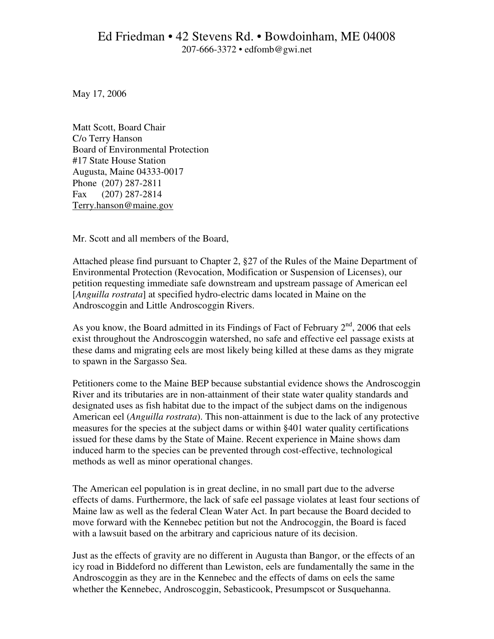May 17, 2006

Matt Scott, Board Chair C/o Terry Hanson Board of Environmental Protection #17 State House Station Augusta, Maine 04333-0017 Phone (207) 287-2811 Fax (207) 287-2814 Terry.hanson@maine.gov

Mr. Scott and all members of the Board,

Attached please find pursuant to Chapter 2, §27 of the Rules of the Maine Department of Environmental Protection (Revocation, Modification or Suspension of Licenses), our petition requesting immediate safe downstream and upstream passage of American eel [*Anguilla rostrata*] at specified hydro-electric dams located in Maine on the Androscoggin and Little Androscoggin Rivers.

As you know, the Board admitted in its Findings of Fact of February  $2<sup>nd</sup>$ , 2006 that eels exist throughout the Androscoggin watershed, no safe and effective eel passage exists at these dams and migrating eels are most likely being killed at these dams as they migrate to spawn in the Sargasso Sea.

Petitioners come to the Maine BEP because substantial evidence shows the Androscoggin River and its tributaries are in non-attainment of their state water quality standards and designated uses as fish habitat due to the impact of the subject dams on the indigenous American eel (*Anguilla rostrata*). This non-attainment is due to the lack of any protective measures for the species at the subject dams or within §401 water quality certifications issued for these dams by the State of Maine. Recent experience in Maine shows dam induced harm to the species can be prevented through cost-effective, technological methods as well as minor operational changes.

The American eel population is in great decline, in no small part due to the adverse effects of dams. Furthermore, the lack of safe eel passage violates at least four sections of Maine law as well as the federal Clean Water Act. In part because the Board decided to move forward with the Kennebec petition but not the Androcoggin, the Board is faced with a lawsuit based on the arbitrary and capricious nature of its decision.

Just as the effects of gravity are no different in Augusta than Bangor, or the effects of an icy road in Biddeford no different than Lewiston, eels are fundamentally the same in the Androscoggin as they are in the Kennebec and the effects of dams on eels the same whether the Kennebec, Androscoggin, Sebasticook, Presumpscot or Susquehanna.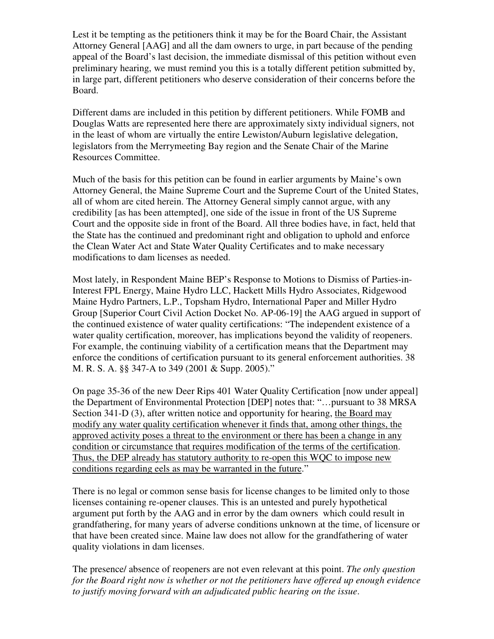Lest it be tempting as the petitioners think it may be for the Board Chair, the Assistant Attorney General [AAG] and all the dam owners to urge, in part because of the pending appeal of the Board's last decision, the immediate dismissal of this petition without even preliminary hearing, we must remind you this is a totally different petition submitted by, in large part, different petitioners who deserve consideration of their concerns before the Board.

Different dams are included in this petition by different petitioners. While FOMB and Douglas Watts are represented here there are approximately sixty individual signers, not in the least of whom are virtually the entire Lewiston/Auburn legislative delegation, legislators from the Merrymeeting Bay region and the Senate Chair of the Marine Resources Committee.

Much of the basis for this petition can be found in earlier arguments by Maine's own Attorney General, the Maine Supreme Court and the Supreme Court of the United States, all of whom are cited herein. The Attorney General simply cannot argue, with any credibility [as has been attempted], one side of the issue in front of the US Supreme Court and the opposite side in front of the Board. All three bodies have, in fact, held that the State has the continued and predominant right and obligation to uphold and enforce the Clean Water Act and State Water Quality Certificates and to make necessary modifications to dam licenses as needed.

Most lately, in Respondent Maine BEP's Response to Motions to Dismiss of Parties-in-Interest FPL Energy, Maine Hydro LLC, Hackett Mills Hydro Associates, Ridgewood Maine Hydro Partners, L.P., Topsham Hydro, International Paper and Miller Hydro Group [Superior Court Civil Action Docket No. AP-06-19] the AAG argued in support of the continued existence of water quality certifications: "The independent existence of a water quality certification, moreover, has implications beyond the validity of reopeners. For example, the continuing viability of a certification means that the Department may enforce the conditions of certification pursuant to its general enforcement authorities. 38 M. R. S. A. §§ 347-A to 349 (2001 & Supp. 2005)."

On page 35-36 of the new Deer Rips 401 Water Quality Certification [now under appeal] the Department of Environmental Protection [DEP] notes that: "…pursuant to 38 MRSA Section 341-D (3), after written notice and opportunity for hearing, the Board may modify any water quality certification whenever it finds that, among other things, the approved activity poses a threat to the environment or there has been a change in any condition or circumstance that requires modification of the terms of the certification. Thus, the DEP already has statutory authority to re-open this WQC to impose new conditions regarding eels as may be warranted in the future."

There is no legal or common sense basis for license changes to be limited only to those licenses containing re-opener clauses. This is an untested and purely hypothetical argument put forth by the AAG and in error by the dam owners which could result in grandfathering, for many years of adverse conditions unknown at the time, of licensure or that have been created since. Maine law does not allow for the grandfathering of water quality violations in dam licenses.

The presence/ absence of reopeners are not even relevant at this point. *The only question for the Board right now is whether or not the petitioners have offered up enough evidence to justify moving forward with an adjudicated public hearing on the issue*.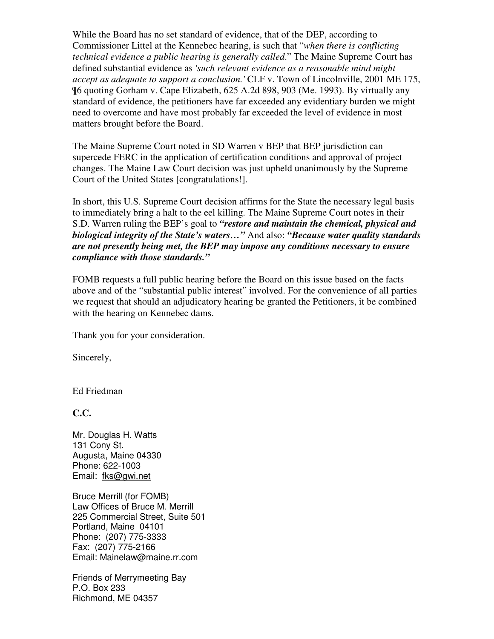While the Board has no set standard of evidence, that of the DEP, according to Commissioner Littel at the Kennebec hearing, is such that "*when there is conflicting technical evidence a public hearing is generally called*." The Maine Supreme Court has defined substantial evidence as *'such relevant evidence as a reasonable mind might accept as adequate to support a conclusion.'* CLF v. Town of Lincolnville, 2001 ME 175, ¶6 quoting Gorham v. Cape Elizabeth, 625 A.2d 898, 903 (Me. 1993). By virtually any standard of evidence, the petitioners have far exceeded any evidentiary burden we might need to overcome and have most probably far exceeded the level of evidence in most matters brought before the Board.

The Maine Supreme Court noted in SD Warren v BEP that BEP jurisdiction can supercede FERC in the application of certification conditions and approval of project changes. The Maine Law Court decision was just upheld unanimously by the Supreme Court of the United States [congratulations!].

In short, this U.S. Supreme Court decision affirms for the State the necessary legal basis to immediately bring a halt to the eel killing. The Maine Supreme Court notes in their S.D. Warren ruling the BEP's goal to *"restore and maintain the chemical, physical and biological integrity of the State's waters…"* And also: *"Because water quality standards are not presently being met, the BEP may impose any conditions necessary to ensure compliance with those standards."* 

FOMB requests a full public hearing before the Board on this issue based on the facts above and of the "substantial public interest" involved. For the convenience of all parties we request that should an adjudicatory hearing be granted the Petitioners, it be combined with the hearing on Kennebec dams.

Thank you for your consideration.

Sincerely,

Ed Friedman

**C.C.** 

Mr. Douglas H. Watts 131 Cony St. Augusta, Maine 04330 Phone: 622-1003 Email: fks@gwi.net

Bruce Merrill (for FOMB) Law Offices of Bruce M. Merrill 225 Commercial Street, Suite 501 Portland, Maine 04101 Phone: (207) 775-3333 Fax: (207) 775-2166 Email: Mainelaw@maine.rr.com

Friends of Merrymeeting Bay P.O. Box 233 Richmond, ME 04357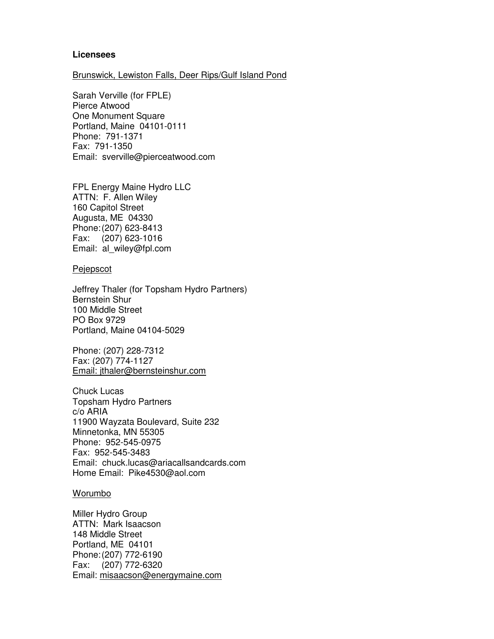## **Licensees**

#### Brunswick, Lewiston Falls, Deer Rips/Gulf Island Pond

Sarah Verville (for FPLE) Pierce Atwood One Monument Square Portland, Maine 04101-0111 Phone: 791-1371 Fax: 791-1350 Email: sverville@pierceatwood.com

FPL Energy Maine Hydro LLC ATTN: F. Allen Wiley 160 Capitol Street Augusta, ME 04330 Phone: (207) 623-8413 Fax: (207) 623-1016 Email: al\_wiley@fpl.com

#### Pejepscot

Jeffrey Thaler (for Topsham Hydro Partners) Bernstein Shur 100 Middle Street PO Box 9729 Portland, Maine 04104-5029

Phone: (207) 228-7312 Fax: (207) 774-1127 Email: jthaler@bernsteinshur.com

Chuck Lucas Topsham Hydro Partners c/o ARIA 11900 Wayzata Boulevard, Suite 232 Minnetonka, MN 55305 Phone: 952-545-0975 Fax: 952-545-3483 Email: chuck.lucas@ariacallsandcards.com Home Email: Pike4530@aol.com

## Worumbo

Miller Hydro Group ATTN: Mark Isaacson 148 Middle Street Portland, ME 04101 Phone: (207) 772-6190 Fax: (207) 772-6320 Email: misaacson@energymaine.com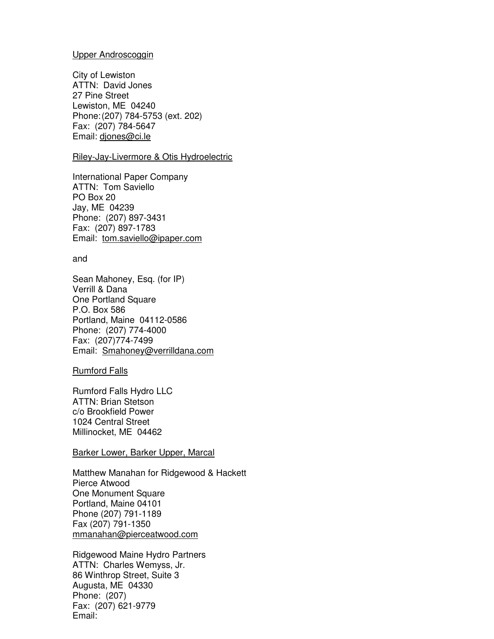## Upper Androscoggin

City of Lewiston ATTN: David Jones 27 Pine Street Lewiston, ME 04240 Phone: (207) 784-5753 (ext. 202) Fax: (207) 784-5647 Email: djones@ci.le

## Riley-Jay-Livermore & Otis Hydroelectric

International Paper Company ATTN: Tom Saviello PO Box 20 Jay, ME 04239 Phone: (207) 897-3431 Fax: (207) 897-1783 Email: tom.saviello@ipaper.com

#### and

Sean Mahoney, Esq. (for IP) Verrill & Dana One Portland Square P.O. Box 586 Portland, Maine 04112-0586 Phone: (207) 774-4000 Fax: (207)774-7499 Email: Smahoney@verrilldana.com

#### Rumford Falls

Rumford Falls Hydro LLC ATTN: Brian Stetson c/o Brookfield Power 1024 Central Street Millinocket, ME 04462

## Barker Lower, Barker Upper, Marcal

Matthew Manahan for Ridgewood & Hackett Pierce Atwood One Monument Square Portland, Maine 04101 Phone (207) 791-1189 Fax (207) 791-1350 mmanahan@pierceatwood.com

Ridgewood Maine Hydro Partners ATTN: Charles Wemyss, Jr. 86 Winthrop Street, Suite 3 Augusta, ME 04330 Phone: (207) Fax: (207) 621-9779 Email: